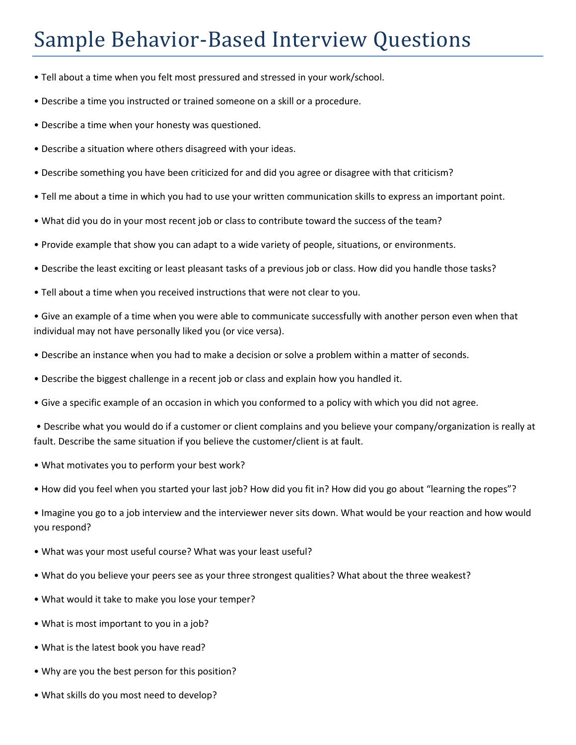## Sample Behavior-Based Interview Questions

- Tell about a time when you felt most pressured and stressed in your work/school.
- Describe a time you instructed or trained someone on a skill or a procedure.
- Describe a time when your honesty was questioned.
- Describe a situation where others disagreed with your ideas.
- Describe something you have been criticized for and did you agree or disagree with that criticism?
- Tell me about a time in which you had to use your written communication skills to express an important point.
- What did you do in your most recent job or class to contribute toward the success of the team?
- Provide example that show you can adapt to a wide variety of people, situations, or environments.
- Describe the least exciting or least pleasant tasks of a previous job or class. How did you handle those tasks?
- Tell about a time when you received instructions that were not clear to you.

• Give an example of a time when you were able to communicate successfully with another person even when that individual may not have personally liked you (or vice versa).

- Describe an instance when you had to make a decision or solve a problem within a matter of seconds.
- Describe the biggest challenge in a recent job or class and explain how you handled it.
- Give a specific example of an occasion in which you conformed to a policy with which you did not agree.

• Describe what you would do if a customer or client complains and you believe your company/organization is really at fault. Describe the same situation if you believe the customer/client is at fault.

- What motivates you to perform your best work?
- How did you feel when you started your last job? How did you fit in? How did you go about "learning the ropes"?
- Imagine you go to a job interview and the interviewer never sits down. What would be your reaction and how would you respond?
- What was your most useful course? What was your least useful?
- What do you believe your peers see as your three strongest qualities? What about the three weakest?
- What would it take to make you lose your temper?
- What is most important to you in a job?
- What is the latest book you have read?
- Why are you the best person for this position?
- What skills do you most need to develop?